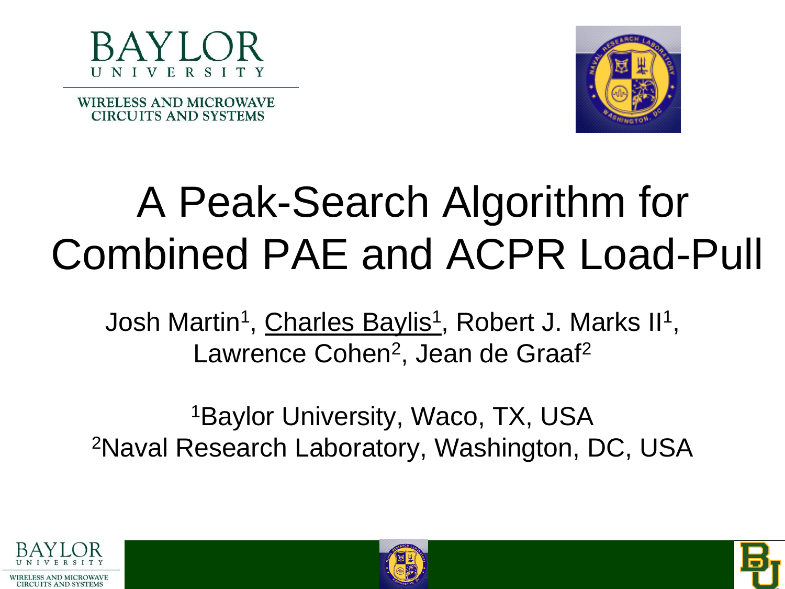

**WIRELESS AND MICROWAVE CIRCUITS AND SYSTEMS** 



#### A Peak-Search Algorithm for Combined PAE and ACPR Load-Pull

Josh Martin<sup>1</sup>, Charles Baylis<sup>1</sup>, Robert J. Marks II<sup>1</sup>, Lawrence Cohen<sup>2</sup>, Jean de Graaf<sup>2</sup>

<sup>1</sup>Baylor University, Waco, TX, USA 2Naval Research Laboratory, Washington, DC, USA





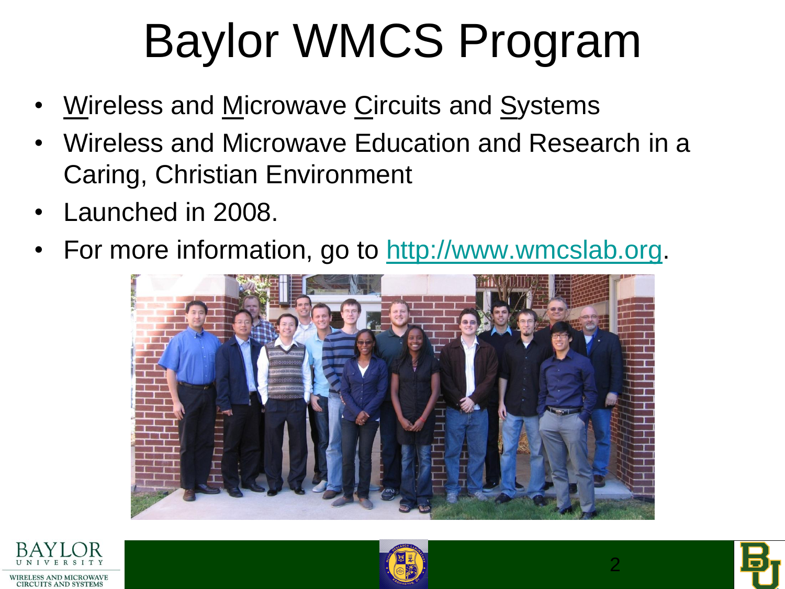# Baylor WMCS Program

- Wireless and Microwave Circuits and Systems
- Wireless and Microwave Education and Research in a Caring, Christian Environment
- Launched in 2008.
- For more information, go to [http://www.wmcslab.org.](http://www.wmcslab.org/)







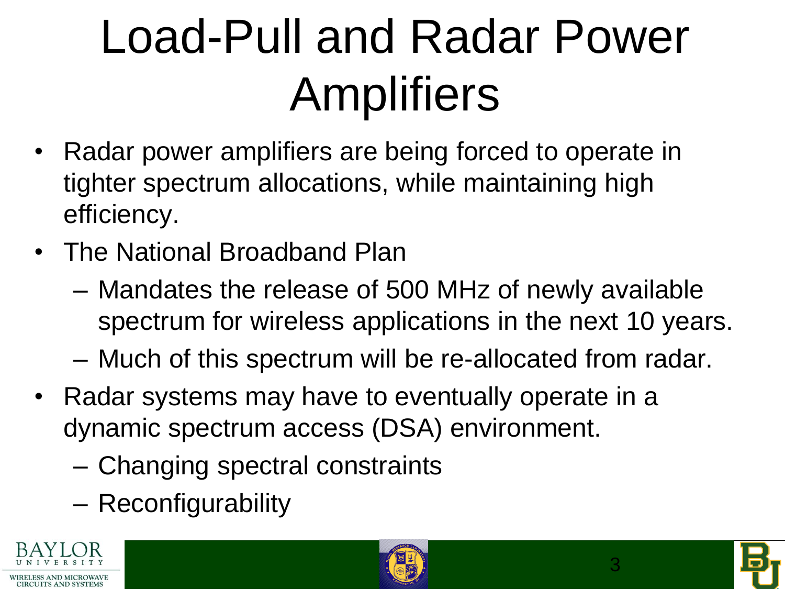# Load-Pull and Radar Power Amplifiers

- Radar power amplifiers are being forced to operate in tighter spectrum allocations, while maintaining high efficiency.
- The National Broadband Plan
	- Mandates the release of 500 MHz of newly available spectrum for wireless applications in the next 10 years.
	- Much of this spectrum will be re-allocated from radar.
- Radar systems may have to eventually operate in a dynamic spectrum access (DSA) environment.
	- Changing spectral constraints
	- Reconfigurability





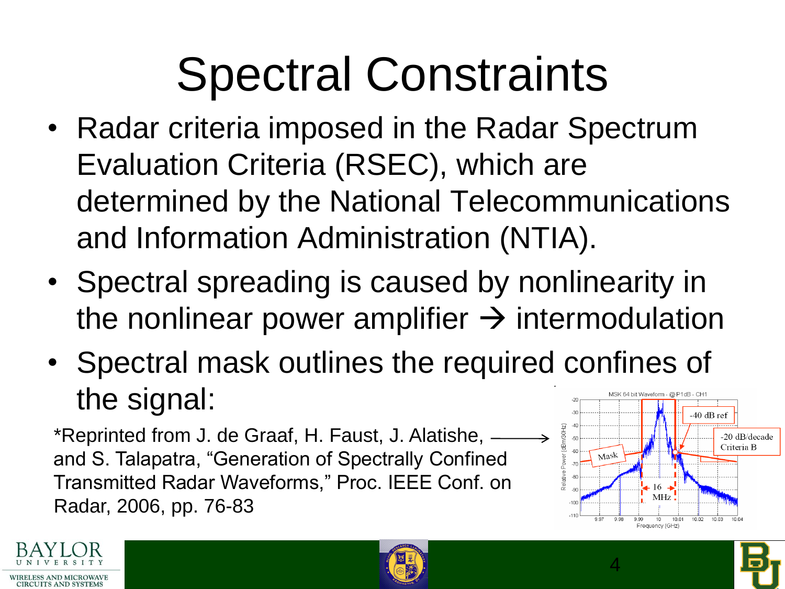# Spectral Constraints

- Radar criteria imposed in the Radar Spectrum Evaluation Criteria (RSEC), which are determined by the National Telecommunications and Information Administration (NTIA).
- Spectral spreading is caused by nonlinearity in the nonlinear power amplifier  $\rightarrow$  intermodulation
- Spectral mask outlines the required confines of the signal:

\*Reprinted from J. de Graaf, H. Faust, J. Alatishe,  $\longrightarrow$ and S. Talapatra, "Generation of Spectrally Confined Transmitted Radar Waveforms," Proc. IEEE Conf. on Radar, 2006, pp. 76-83



4



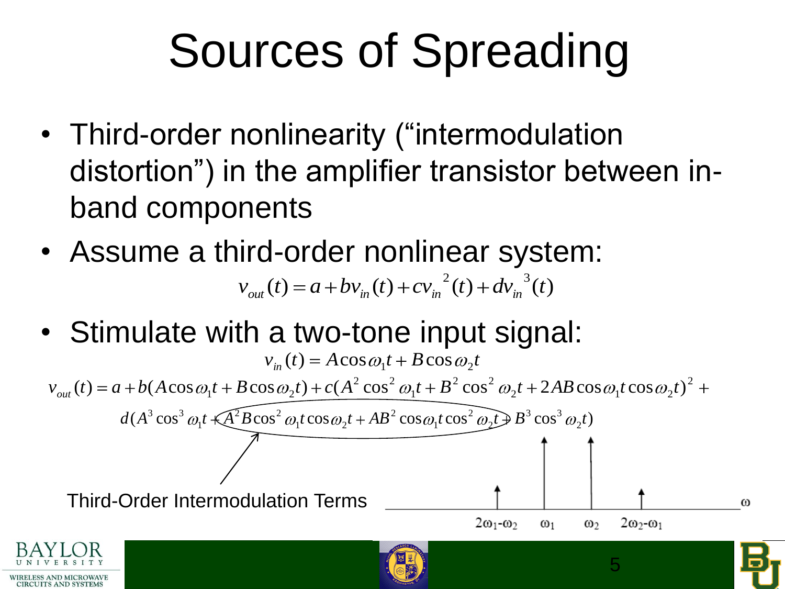# Sources of Spreading

- Third-order nonlinearity ("intermodulation distortion") in the amplifier transistor between inband components
- Assume a third-order nonlinear system:  $v_{out}(t) = a + bv_{in}(t) + cv_{in}^{2}(t) + dv_{in}^{3}(t)$
- Stimulate with a two-tone input signal:

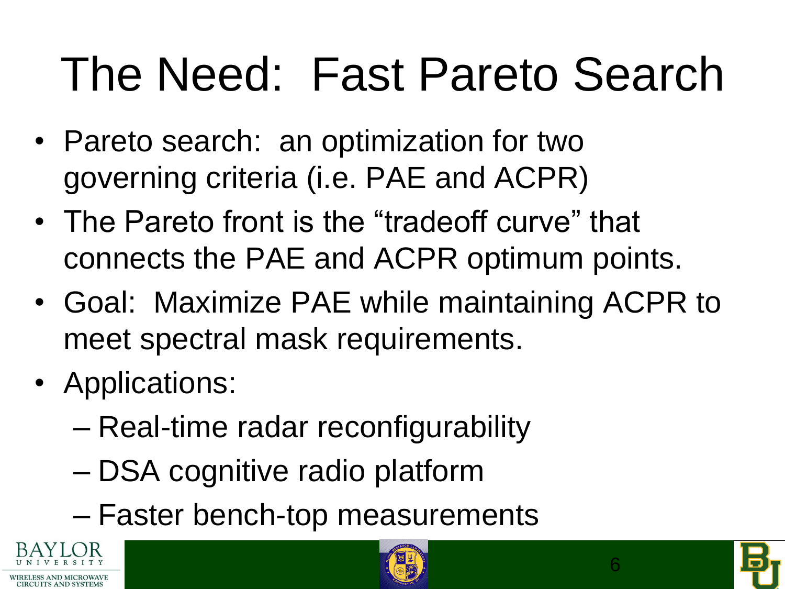# The Need: Fast Pareto Search

- Pareto search: an optimization for two governing criteria (i.e. PAE and ACPR)
- The Pareto front is the "tradeoff curve" that connects the PAE and ACPR optimum points.
- Goal: Maximize PAE while maintaining ACPR to meet spectral mask requirements.
- Applications:
	- Real-time radar reconfigurability
	- DSA cognitive radio platform
	- Faster bench-top measurements





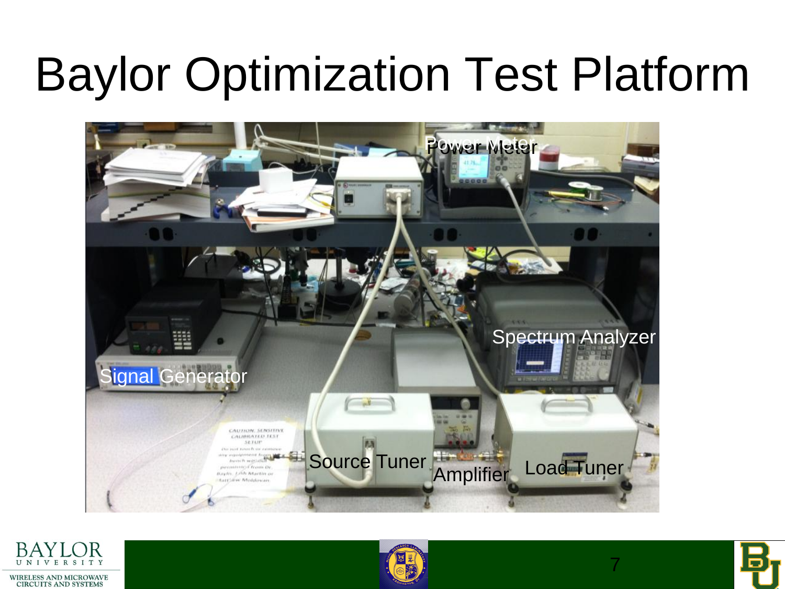## Baylor Optimization Test Platform







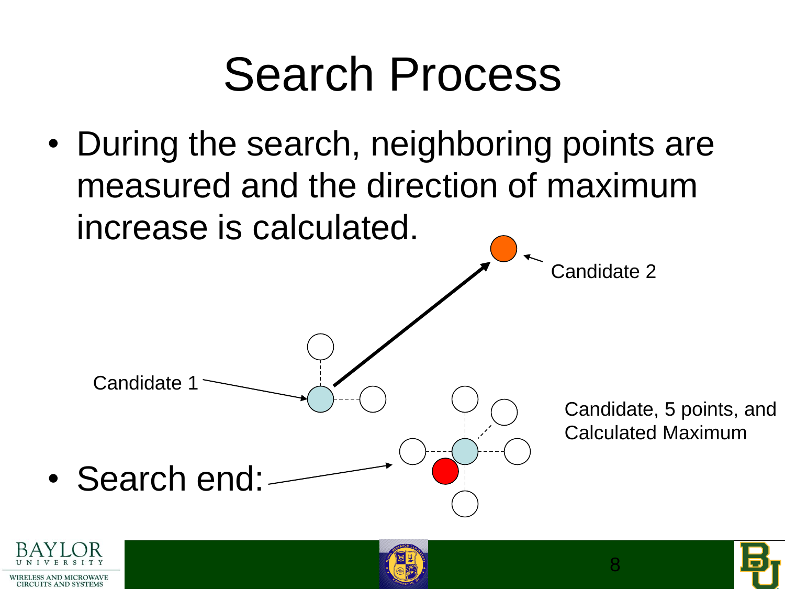### Search Process

• During the search, neighboring points are measured and the direction of maximum increase is calculated.



• Search end:

Candidate 1

**WIRELESS AND MICROWAVI** CIRCUITS AND SYSTEM



Candidate 2

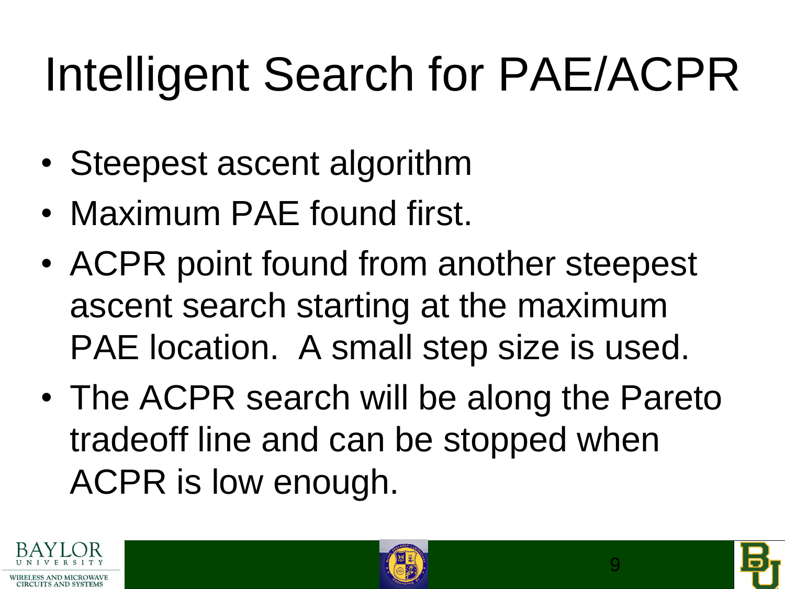# Intelligent Search for PAE/ACPR

- Steepest ascent algorithm
- Maximum PAE found first.
- ACPR point found from another steepest ascent search starting at the maximum PAE location. A small step size is used.
- The ACPR search will be along the Pareto tradeoff line and can be stopped when ACPR is low enough.





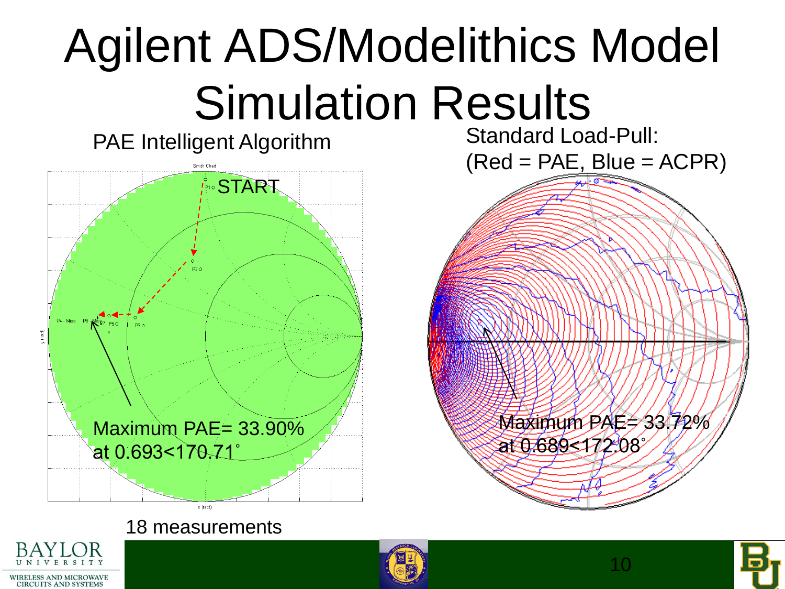# Agilent ADS/Modelithics Model Simulation Results

PAE Intelligent Algorithm **START** Maximum PAE= 33.90% at 0.693<170.71˚ x (rect)

Standard Load-Pull:  $(Red = PAE, Blue = ACPR)$ 

> Maximum PAE= 33.72% at 0.689<172.08˚

18 measurements





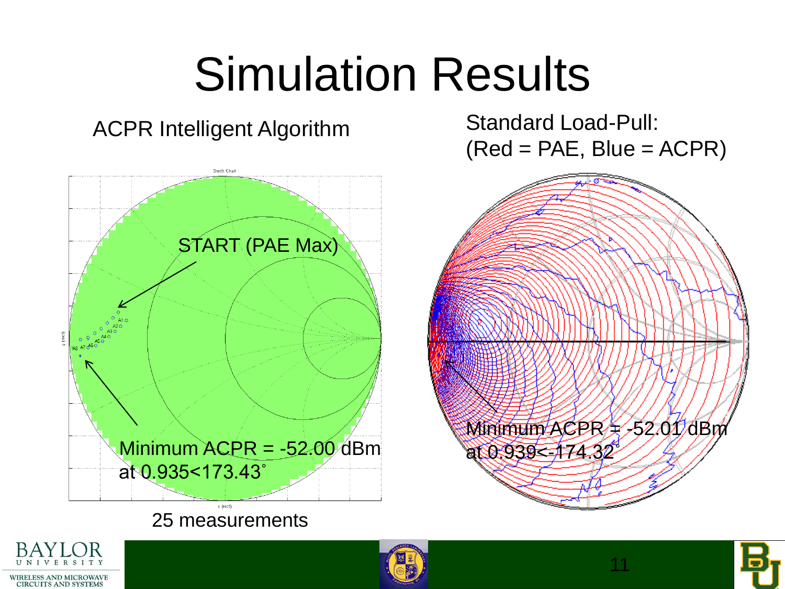## Simulation Results

#### ACPR Intelligent Algorithm

Smith Chan START (PAE Max) Minimum ACPR = -52.00 dBm at 0.935<173.43˚ v (roct) 25 measurements

Standard Load-Pull:  $(Red = PAE, Blue = ACPR)$ 







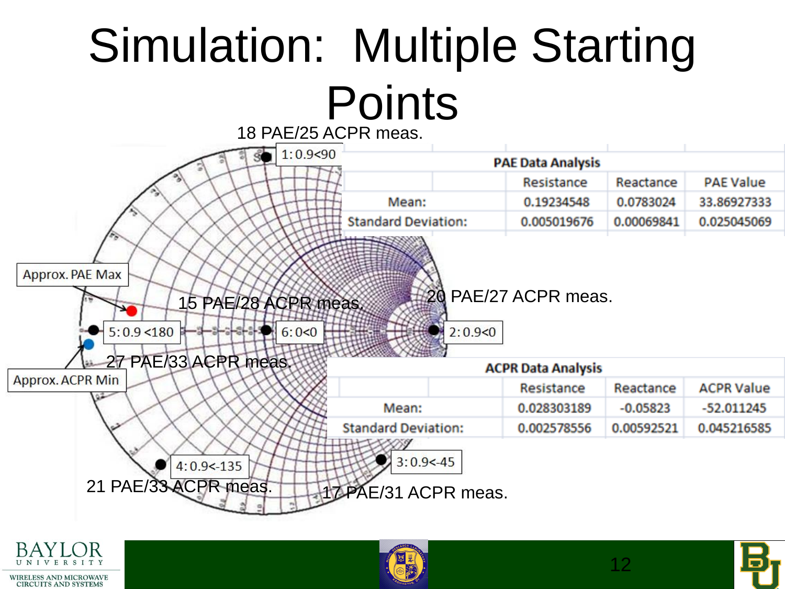# Simulation: Multiple Starting **Points**







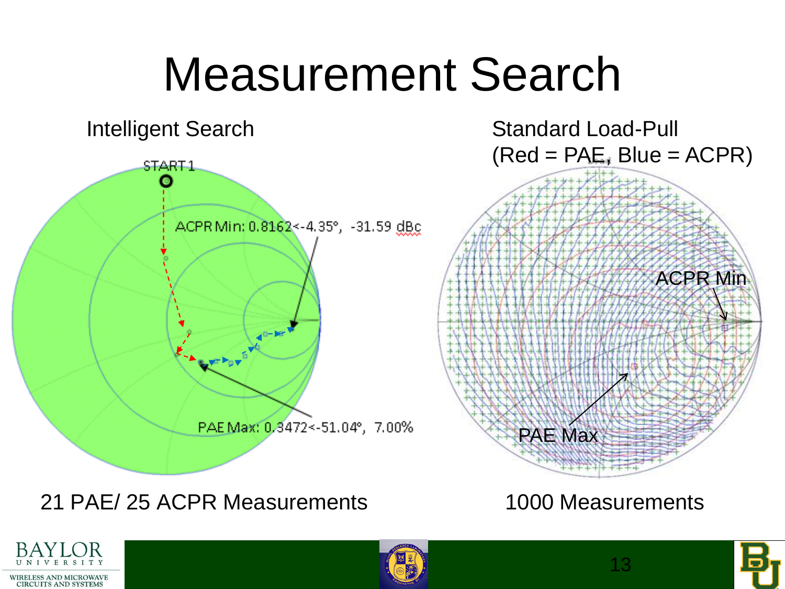### Measurement Search



21 PAE/ 25 ACPR Measurements 1000 Measurements





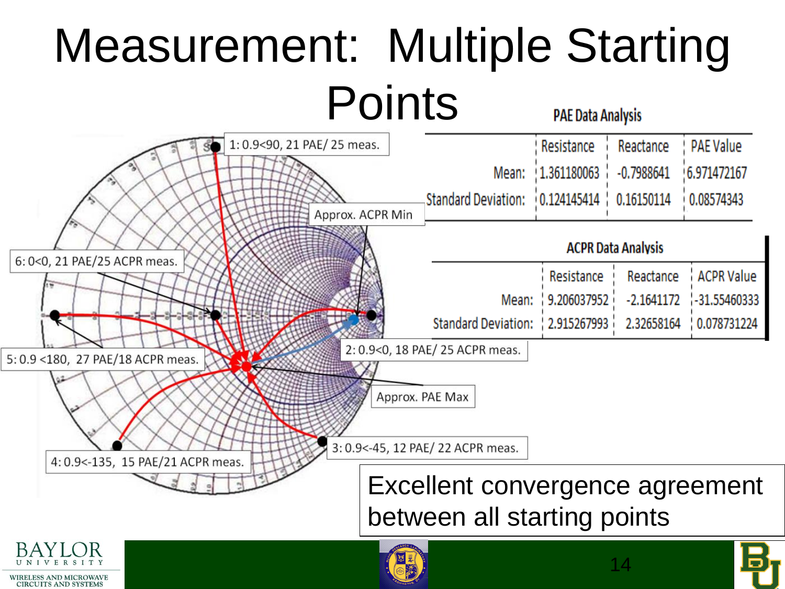#### Measurement: Multiple Starting **Points PAE Data Analysis**



**CIRCUITS AND SYSTEMS**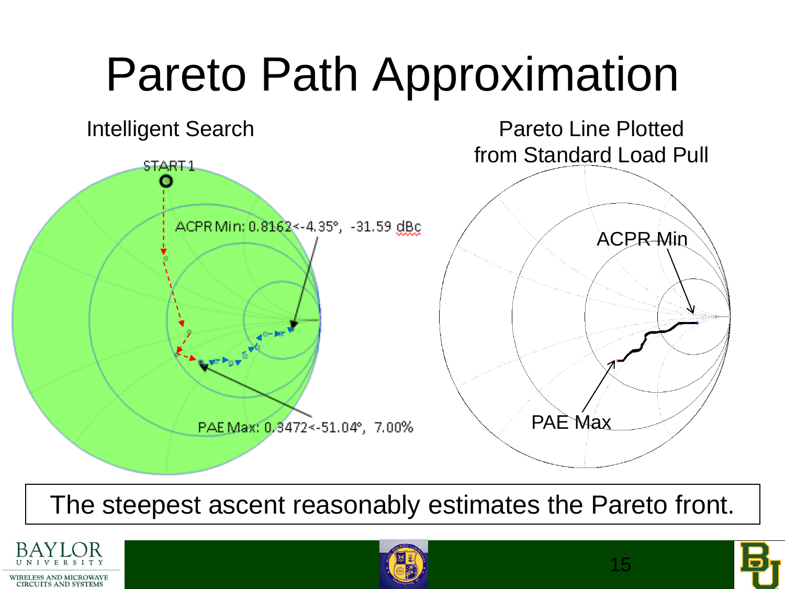## Pareto Path Approximation Intelligent Search **Pareto Line Plotted** from Standard Load Pull START<sub>1</sub> ACPR Min: 0.8162 <- 4.35°, -31.59 dBc ACPR Min PAE Max PAEMax: 0,3472 <- 51.04°, 7.00%

#### The steepest ascent reasonably estimates the Pareto front.





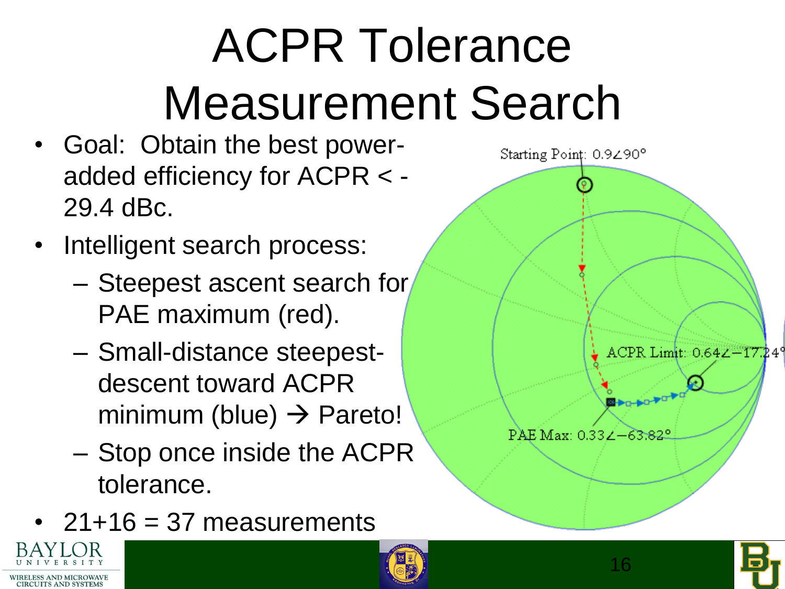# ACPR Tolerance Measurement Search

- Goal: Obtain the best poweradded efficiency for ACPR < - 29.4 dBc.
- Intelligent search process:
	- Steepest ascent search for PAE maximum (red).
	- Small-distance steepestdescent toward ACPR minimum (blue)  $\rightarrow$  Pareto!
	- Stop once inside the ACPR tolerance.
- $21+16=37$  measurements



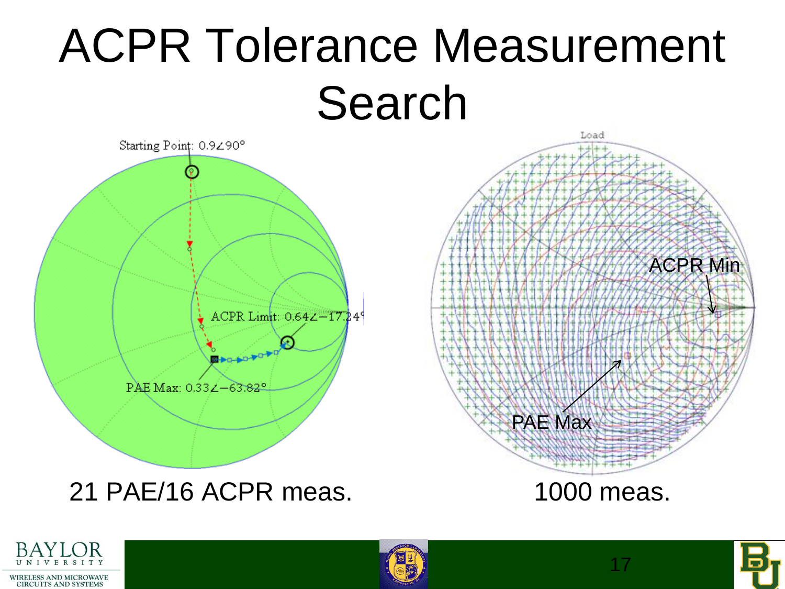## ACPR Tolerance Measurement Search







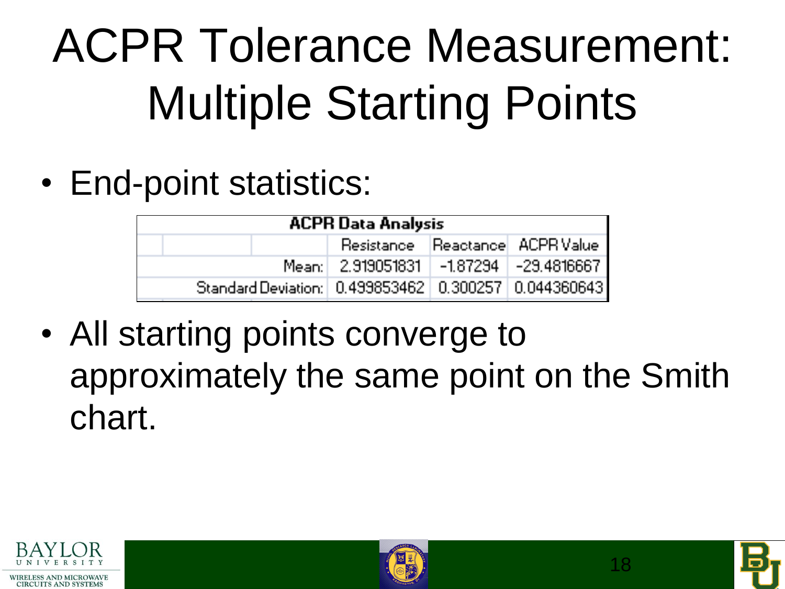# ACPR Tolerance Measurement: Multiple Starting Points

• End-point statistics:

| <b>ACPR Data Analysis</b>                                  |  |                                        |  |  |
|------------------------------------------------------------|--|----------------------------------------|--|--|
|                                                            |  | <b>Resistance Reactance ACPR Value</b> |  |  |
|                                                            |  | Mean: 2.919051831 -1.87294 -29.4816667 |  |  |
| Standard Deviation:   0.499853462   0.300257   0.044360643 |  |                                        |  |  |

• All starting points converge to approximately the same point on the Smith chart.





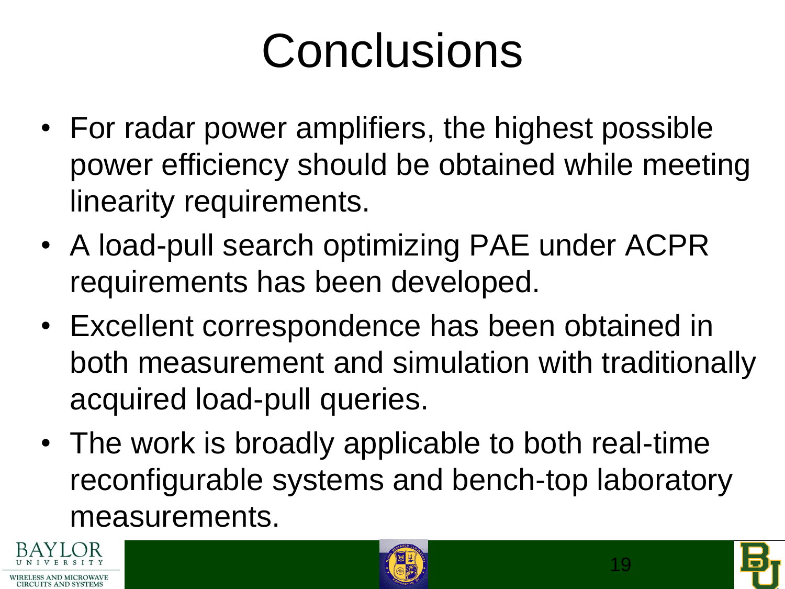# **Conclusions**

- For radar power amplifiers, the highest possible power efficiency should be obtained while meeting linearity requirements.
- A load-pull search optimizing PAE under ACPR requirements has been developed.
- Excellent correspondence has been obtained in both measurement and simulation with traditionally acquired load-pull queries.
- The work is broadly applicable to both real-time reconfigurable systems and bench-top laboratory measurements.





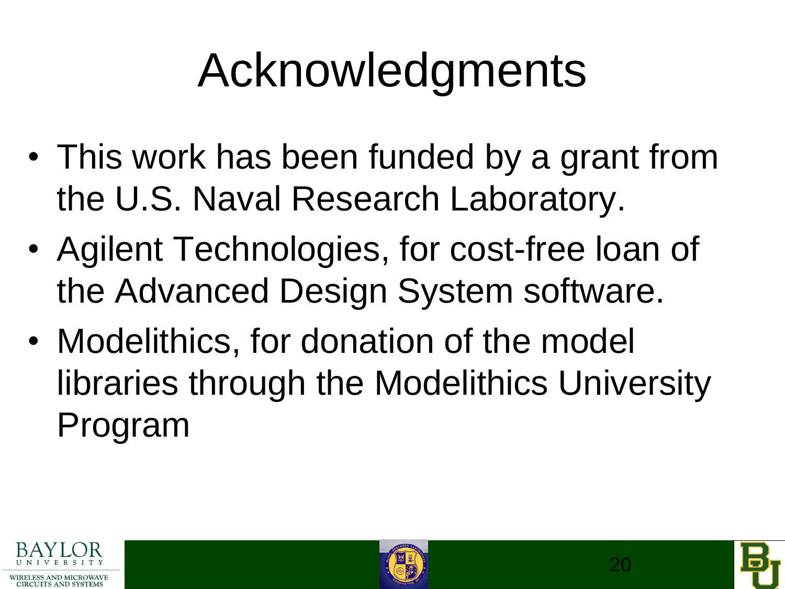# Acknowledgments

- This work has been funded by a grant from the U.S. Naval Research Laboratory.
- Agilent Technologies, for cost-free loan of the Advanced Design System software.
- Modelithics, for donation of the model libraries through the Modelithics University Program